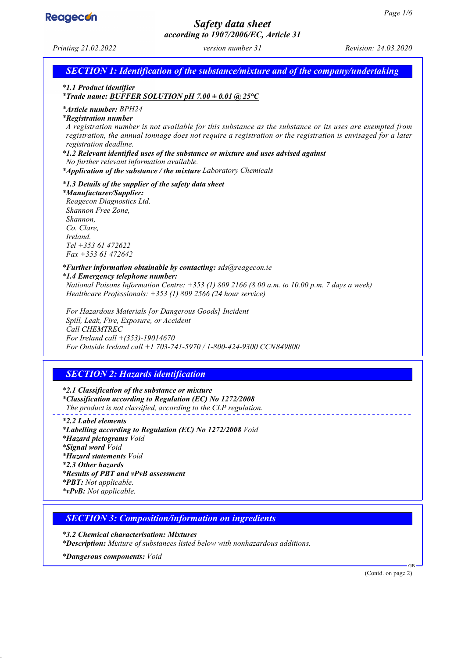

# *Safety data sheet according to 1907/2006/EC, Article 31*

*Printing 21.02.2022 version number 31 Revision: 24.03.2020*

*SECTION 1: Identification of the substance/mixture and of the company/undertaking*

*\* 1.1 Product identifier*

*\* Trade name: BUFFER SOLUTION pH 7.00 ± 0.01 @ 25°C*

*\* Article number: BPH24*

*\* Registration number*

*A registration number is not available for this substance as the substance or its uses are exempted from registration, the annual tonnage does not require a registration or the registration is envisaged for a later registration deadline.*

*\* 1.2 Relevant identified uses of the substance or mixture and uses advised against*

*No further relevant information available.*

*\* Application of the substance / the mixture Laboratory Chemicals*

*\* 1.3 Details of the supplier of the safety data sheet*

*\* Manufacturer/Supplier:*

*Reagecon Diagnostics Ltd. Shannon Free Zone, Shannon, Co. Clare, Ireland. Tel +353 61 472622 Fax +353 61 472642*

*\* Further information obtainable by contacting: sds@reagecon.ie*

*\* 1.4 Emergency telephone number: National Poisons Information Centre: +353 (1) 809 2166 (8.00 a.m. to 10.00 p.m. 7 days a week) Healthcare Professionals: +353 (1) 809 2566 (24 hour service)*

*For Hazardous Materials [or Dangerous Goods] Incident Spill, Leak, Fire, Exposure, or Accident Call CHEMTREC For Ireland call +(353)-19014670 For Outside Ireland call +1 703-741-5970 / 1-800-424-9300 CCN849800*

# *SECTION 2: Hazards identification*

*\* 2.1 Classification of the substance or mixture \* Classification according to Regulation (EC) No 1272/2008 The product is not classified, according to the CLP regulation.*

*\* 2.2 Label elements \* Labelling according to Regulation (EC) No 1272/2008 Void \* Hazard pictograms Void \* Signal word Void \* Hazard statements Void \* 2.3 Other hazards \* Results of PBT and vPvB assessment \* PBT: Not applicable. \* vPvB: Not applicable.*

*SECTION 3: Composition/information on ingredients*

*\* 3.2 Chemical characterisation: Mixtures \* Description: Mixture of substances listed below with nonhazardous additions.*

*\* Dangerous components: Void*

(Contd. on page 2)

GB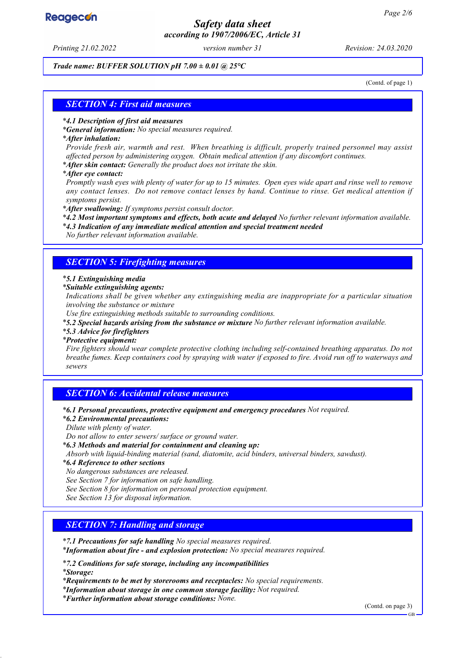# **Reagecon**

# *Safety data sheet according to 1907/2006/EC, Article 31*

*Printing 21.02.2022 version number 31 Revision: 24.03.2020*

### *Trade name: BUFFER SOLUTION pH 7.00 ± 0.01 @ 25°C*

(Contd. of page 1)

### *SECTION 4: First aid measures*

#### *\* 4.1 Description of first aid measures*

*\* General information: No special measures required.*

#### *\* After inhalation:*

*Provide fresh air, warmth and rest. When breathing is difficult, properly trained personnel may assist affected person by administering oxygen. Obtain medical attention if any discomfort continues.*

*\* After skin contact: Generally the product does not irritate the skin.*

*\* After eye contact:*

*Promptly wash eyes with plenty of water for up to 15 minutes. Open eyes wide apart and rinse well to remove any contact lenses. Do not remove contact lenses by hand. Continue to rinse. Get medical attention if symptoms persist.*

*\* After swallowing: If symptoms persist consult doctor.*

*\* 4.2 Most important symptoms and effects, both acute and delayed No further relevant information available.*

*\* 4.3 Indication of any immediate medical attention and special treatment needed*

*No further relevant information available.*

### *SECTION 5: Firefighting measures*

#### *\* 5.1 Extinguishing media*

*\* Suitable extinguishing agents:*

*Indications shall be given whether any extinguishing media are inappropriate for a particular situation involving the substance or mixture*

*Use fire extinguishing methods suitable to surrounding conditions.*

*\* 5.2 Special hazards arising from the substance or mixture No further relevant information available.*

#### *\* 5.3 Advice for firefighters*

#### *\* Protective equipment:*

*Fire fighters should wear complete protective clothing including self-contained breathing apparatus. Do not breathe fumes. Keep containers cool by spraying with water if exposed to fire. Avoid run off to waterways and sewers*

## *SECTION 6: Accidental release measures*

*\* 6.1 Personal precautions, protective equipment and emergency procedures Not required.*

*\* 6.2 Environmental precautions:*

*Dilute with plenty of water.*

*Do not allow to enter sewers/ surface or ground water.*

*\* 6.3 Methods and material for containment and cleaning up:*

*Absorb with liquid-binding material (sand, diatomite, acid binders, universal binders, sawdust).*

*\* 6.4 Reference to other sections*

*No dangerous substances are released.*

*See Section 7 for information on safe handling.*

*See Section 8 for information on personal protection equipment.*

*See Section 13 for disposal information.*

## *SECTION 7: Handling and storage*

*\* 7.1 Precautions for safe handling No special measures required.*

*\* Information about fire - and explosion protection: No special measures required.*

*\* 7.2 Conditions for safe storage, including any incompatibilities \* Storage:*

*\* Requirements to be met by storerooms and receptacles: No special requirements.*

*\* Information about storage in one common storage facility: Not required.*

*\* Further information about storage conditions: None.*

(Contd. on page 3)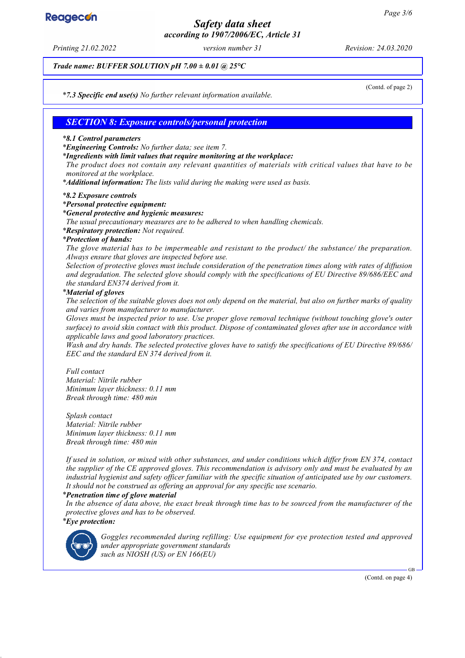# **Reagecon**

# *Safety data sheet according to 1907/2006/EC, Article 31*

*Printing 21.02.2022 version number 31 Revision: 24.03.2020*

*Trade name: BUFFER SOLUTION pH 7.00 ± 0.01 @ 25°C*

(Contd. of page 2)

*\* 7.3 Specific end use(s) No further relevant information available.*

## *SECTION 8: Exposure controls/personal protection*

#### *\* 8.1 Control parameters*

*\* Engineering Controls: No further data; see item 7.*

*\* Ingredients with limit values that require monitoring at the workplace:*

*The product does not contain any relevant quantities of materials with critical values that have to be monitored at the workplace.*

*\* Additional information: The lists valid during the making were used as basis.*

#### *\* 8.2 Exposure controls*

*\* Personal protective equipment:*

#### *\* General protective and hygienic measures:*

*The usual precautionary measures are to be adhered to when handling chemicals.*

*\* Respiratory protection: Not required.*

#### *\* Protection of hands:*

*The glove material has to be impermeable and resistant to the product/ the substance/ the preparation. Always ensure that gloves are inspected before use.*

*Selection of protective gloves must include consideration of the penetration times along with rates of diffusion and degradation. The selected glove should comply with the specifications of EU Directive 89/686/EEC and the standard EN374 derived from it.*

#### *\* Material of gloves*

*The selection of the suitable gloves does not only depend on the material, but also on further marks of quality and varies from manufacturer to manufacturer.*

*Gloves must be inspected prior to use. Use proper glove removal technique (without touching glove's outer surface) to avoid skin contact with this product. Dispose of contaminated gloves after use in accordance with applicable laws and good laboratory practices.*

*Wash and dry hands. The selected protective gloves have to satisfy the specifications of EU Directive 89/686/ EEC and the standard EN 374 derived from it.*

*Full contact Material: Nitrile rubber Minimum layer thickness: 0.11 mm Break through time: 480 min*

*Splash contact Material: Nitrile rubber Minimum layer thickness: 0.11 mm Break through time: 480 min*

*If used in solution, or mixed with other substances, and under conditions which differ from EN 374, contact the supplier of the CE approved gloves. This recommendation is advisory only and must be evaluated by an industrial hygienist and safety officer familiar with the specific situation of anticipated use by our customers. It should not be construed as offering an approval for any specific use scenario.*

#### *\* Penetration time of glove material*

*In the absence of data above, the exact break through time has to be sourced from the manufacturer of the protective gloves and has to be observed. \* Eye protection:*



*Goggles recommended during refilling: Use equipment for eye protection tested and approved under appropriate government standards such as NIOSH (US) or EN 166(EU)*

(Contd. on page 4)

GB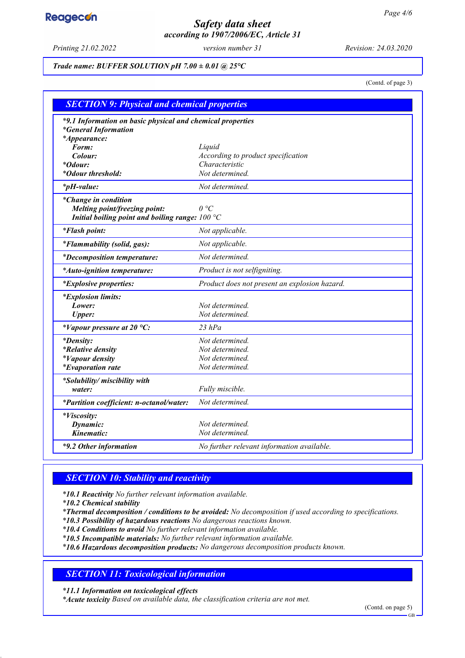# **Reagecon**

# *Safety data sheet according to 1907/2006/EC, Article 31*

*Printing 21.02.2022 version number 31 Revision: 24.03.2020*

### *Trade name: BUFFER SOLUTION pH 7.00 ± 0.01 @ 25°C*

(Contd. of page 3)

| <b>SECTION 9: Physical and chemical properties</b>                                                                |                                               |  |
|-------------------------------------------------------------------------------------------------------------------|-----------------------------------------------|--|
| *9.1 Information on basic physical and chemical properties<br><i>*General Information</i><br><i>*Appearance:</i>  |                                               |  |
| Form:                                                                                                             | Liquid                                        |  |
| Colour:                                                                                                           | According to product specification            |  |
| <i>*Odour:</i>                                                                                                    | Characteristic                                |  |
| <i>*Odour threshold:</i>                                                                                          | Not determined.                               |  |
| $*_{p}H$ -value:                                                                                                  | Not determined.                               |  |
| <i>*Change in condition</i><br>Melting point/freezing point:<br>Initial boiling point and boiling range: $100 °C$ | $\theta$ °C                                   |  |
| <i>*Flash point:</i>                                                                                              | Not applicable.                               |  |
| <i>*Flammability (solid, gas):</i>                                                                                | Not applicable.                               |  |
| <i>*Decomposition temperature:</i>                                                                                | Not determined.                               |  |
| *Auto-ignition temperature:                                                                                       | Product is not selfigniting.                  |  |
| <i>*Explosive properties:</i>                                                                                     | Product does not present an explosion hazard. |  |
| <i>*Explosion limits:</i>                                                                                         |                                               |  |
| Lower:                                                                                                            | Not determined.                               |  |
| <b>Upper:</b>                                                                                                     | Not determined.                               |  |
| *Vapour pressure at 20 $^{\circ}C$ :                                                                              | $23$ hPa                                      |  |
| <i>*Density:</i>                                                                                                  | Not determined.                               |  |
| <i>*Relative density</i>                                                                                          | Not determined.                               |  |
| <i>*Vapour density</i>                                                                                            | Not determined.                               |  |
| <i>*Evaporation rate</i>                                                                                          | Not determined.                               |  |
| *Solubility/ miscibility with                                                                                     |                                               |  |
| water:                                                                                                            | Fully miscible.                               |  |
| *Partition coefficient: n-octanol/water:                                                                          | Not determined.                               |  |
| *Viscosity:                                                                                                       |                                               |  |
| Dynamic:                                                                                                          | Not determined.                               |  |
| Kinematic:                                                                                                        | Not determined.                               |  |
| *9.2 Other information                                                                                            | No further relevant information available.    |  |

# *SECTION 10: Stability and reactivity*

*\* 10.1 Reactivity No further relevant information available.*

*\* 10.2 Chemical stability*

*\* Thermal decomposition / conditions to be avoided: No decomposition if used according to specifications.*

*\* 10.3 Possibility of hazardous reactions No dangerous reactions known.*

*\* 10.4 Conditions to avoid No further relevant information available.*

*\* 10.5 Incompatible materials: No further relevant information available.*

*\* 10.6 Hazardous decomposition products: No dangerous decomposition products known.*

# *SECTION 11: Toxicological information*

*\* 11.1 Information on toxicological effects*

*\* Acute toxicity Based on available data, the classification criteria are not met.*

(Contd. on page 5)

GB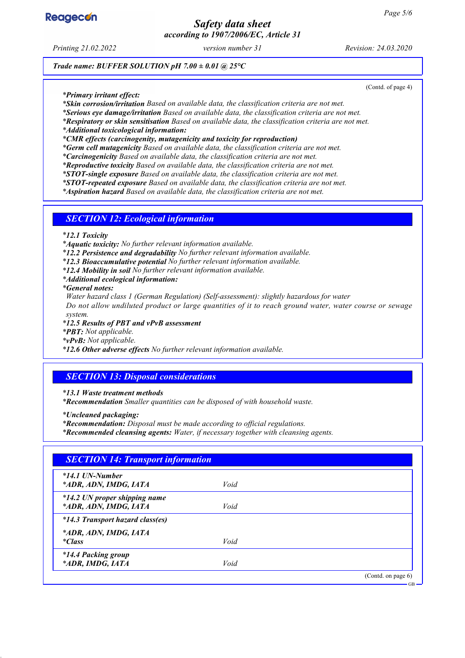

# *Safety data sheet according to 1907/2006/EC, Article 31*

*Printing 21.02.2022 version number 31 Revision: 24.03.2020*

(Contd. of page 4)

*Trade name: BUFFER SOLUTION pH 7.00 ± 0.01 @ 25°C*

*\* Primary irritant effect:*

*\* Skin corrosion/irritation Based on available data, the classification criteria are not met.*

*\* Serious eye damage/irritation Based on available data, the classification criteria are not met.*

*\* Respiratory or skin sensitisation Based on available data, the classification criteria are not met.*

*\* Additional toxicological information:*

*\* CMR effects (carcinogenity, mutagenicity and toxicity for reproduction)*

*\* Germ cell mutagenicity Based on available data, the classification criteria are not met.*

*\* Carcinogenicity Based on available data, the classification criteria are not met.*

*\* Reproductive toxicity Based on available data, the classification criteria are not met.*

*\* STOT-single exposure Based on available data, the classification criteria are not met.*

*\* STOT-repeated exposure Based on available data, the classification criteria are not met.*

*\* Aspiration hazard Based on available data, the classification criteria are not met.*

### *SECTION 12: Ecological information*

*\* 12.1 Toxicity*

*\* Aquatic toxicity: No further relevant information available.*

*\* 12.2 Persistence and degradability No further relevant information available.*

*\* 12.3 Bioaccumulative potential No further relevant information available.*

*\* 12.4 Mobility in soil No further relevant information available.*

*\* Additional ecological information:*

*\* General notes:*

*Water hazard class 1 (German Regulation) (Self-assessment): slightly hazardous for water*

*Do not allow undiluted product or large quantities of it to reach ground water, water course or sewage system.*

*\* 12.5 Results of PBT and vPvB assessment*

*\* PBT: Not applicable.*

*\* vPvB: Not applicable.*

*\* 12.6 Other adverse effects No further relevant information available.*

## *SECTION 13: Disposal considerations*

*\* 13.1 Waste treatment methods*

*\* Recommendation Smaller quantities can be disposed of with household waste.*

*\* Uncleaned packaging:*

*\* Recommendation: Disposal must be made according to official regulations.*

*\* Recommended cleansing agents: Water, if necessary together with cleansing agents.*

| $*14.1$ UN-Number                                      |      |  |
|--------------------------------------------------------|------|--|
| *ADR, ADN, IMDG, IATA                                  | Void |  |
| *14.2 UN proper shipping name<br>*ADR, ADN, IMDG, IATA | Void |  |
| *14.3 Transport hazard class(es)                       |      |  |
| *ADR, ADN, IMDG, IATA                                  |      |  |
| <i>*Class</i>                                          | Void |  |
| *14.4 Packing group                                    |      |  |
| *ADR, IMDG, IATA                                       | Void |  |